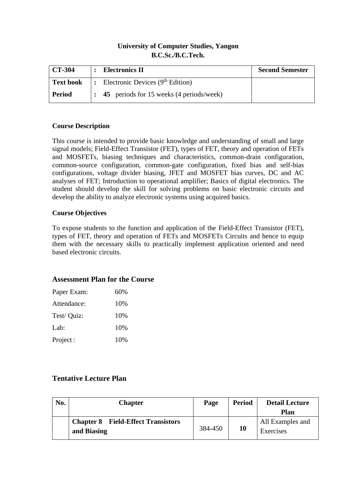## **University of Computer Studies, Yangon B.C.Sc./B.C.Tech.**

| CT-304           | <b>Electronics II</b>                                  | <b>Second Semester</b> |  |  |
|------------------|--------------------------------------------------------|------------------------|--|--|
| <b>Text book</b> | $\vert$ : Electronic Devices (9 <sup>th</sup> Edition) |                        |  |  |
| Period           | : 45 periods for 15 weeks (4 periods/week)             |                        |  |  |

#### **Course Description**

This course is intended to provide basic knowledge and understanding of small and large signal models; Field-Effect Transistor (FET), types of FET, theory and operation of FETs and MOSFETs, biasing techniques and characteristics, common-drain configuration, common-source configuration, common-gate configuration, fixed bias and self-bias configurations, voltage divider biasing, JFET and MOSFET bias curves, DC and AC analyses of FET; Introduction to operational amplifier; Basics of digital electronics. The student should develop the skill for solving problems on basic electronic circuits and develop the ability to analyze electronic systems using acquired basics.

### **Course Objectives**

To expose students to the function and application of the Field-Effect Transistor (FET), types of FET, theory and operation of FETs and MOSFETs Circuits and hence to equip them with the necessary skills to practically implement application oriented and need based electronic circuits.

## **Assessment Plan for the Course**

| Paper Exam: | 60% |
|-------------|-----|
| Attendance: | 10% |
| Test/ Quiz: | 10% |
| Lab:        | 10% |
| Project:    | 10% |

# **Tentative Lecture Plan**

| No. | <b>Chapter</b>                                           | Page    | <b>Period</b> | <b>Detail Lecture</b><br><b>Plan</b> |
|-----|----------------------------------------------------------|---------|---------------|--------------------------------------|
|     | <b>Chapter 8</b> Field-Effect Transistors<br>and Biasing | 384-450 | 10            | All Examples and<br>Exercises        |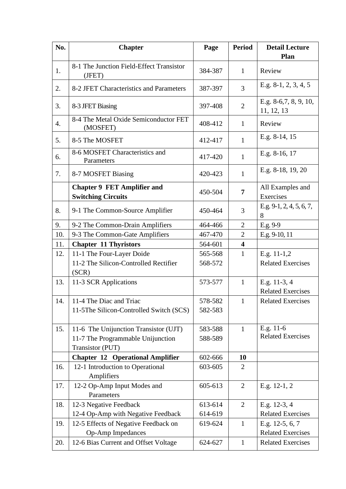| No.              | <b>Chapter</b>                                                  | Page    | <b>Period</b>  | <b>Detail Lecture</b>               |
|------------------|-----------------------------------------------------------------|---------|----------------|-------------------------------------|
|                  |                                                                 |         |                | Plan                                |
| 1.               | 8-1 The Junction Field-Effect Transistor<br>(JFET)              | 384-387 | $\mathbf{1}$   | Review                              |
| 2.               | 8-2 JFET Characteristics and Parameters                         | 387-397 | 3              | E.g. $8-1, 2, 3, 4, 5$              |
| 3.               | 8-3 JFET Biasing                                                | 397-408 | $\overline{2}$ | E.g. 8-6,7, 8, 9, 10,<br>11, 12, 13 |
| $\overline{4}$ . | 8-4 The Metal Oxide Semiconductor FET<br>(MOSFET)               | 408-412 | $\mathbf{1}$   | Review                              |
| 5.               | 8-5 The MOSFET                                                  | 412-417 | $\mathbf{1}$   | E.g. 8-14, 15                       |
| 6.               | 8-6 MOSFET Characteristics and<br>Parameters                    | 417-420 | $\mathbf{1}$   | E.g. 8-16, 17                       |
| 7.               | 8-7 MOSFET Biasing                                              | 420-423 | $\mathbf{1}$   | E.g. 8-18, 19, 20                   |
|                  | <b>Chapter 9 FET Amplifier and</b><br><b>Switching Circuits</b> | 450-504 | $\overline{7}$ | All Examples and<br>Exercises       |
| 8.               | 9-1 The Common-Source Amplifier                                 | 450-464 | 3              | E.g. $9-1, 2, 4, 5, 6, 7,$<br>8     |
| 9.               | 9-2 The Common-Drain Amplifiers                                 | 464-466 | $\overline{2}$ | E.g. 9-9                            |
| 10.              | 9-3 The Common-Gate Amplifiers                                  | 467-470 | $\overline{2}$ | E.g. 9-10, 11                       |
| 11.              | <b>Chapter 11 Thyristors</b>                                    | 564-601 | 4              |                                     |
| 12.              | 11-1 The Four-Layer Doide                                       | 565-568 | $\mathbf{1}$   | E.g. $11-1,2$                       |
|                  | 11-2 The Silicon-Controlled Rectifier                           | 568-572 |                | <b>Related Exercises</b>            |
|                  | (SCR)                                                           |         |                |                                     |
| 13.              | 11-3 SCR Applications                                           | 573-577 | $\mathbf{1}$   | E.g. 11-3, 4                        |
|                  |                                                                 |         |                | <b>Related Exercises</b>            |
| 14.              | 11-4 The Diac and Triac                                         | 578-582 | 1              | <b>Related Exercises</b>            |
|                  | 11-5The Silicon-Controlled Switch (SCS)                         | 582-583 |                |                                     |
| 15.              | 11-6 The Unijunction Transistor (UJT)                           | 583-588 | $\mathbf{1}$   | E.g. 11-6                           |
|                  | 11-7 The Programmable Unijunction                               | 588-589 |                | <b>Related Exercises</b>            |
|                  | Transistor (PUT)                                                |         |                |                                     |
|                  | <b>Chapter 12 Operational Amplifier</b>                         | 602-666 | 10             |                                     |
| 16.              | 12-1 Introduction to Operational<br>Amplifiers                  | 603-605 | $\overline{2}$ |                                     |
| 17.              | 12-2 Op-Amp Input Modes and<br>Parameters                       | 605-613 | $\overline{2}$ | E.g. 12-1, 2                        |
| 18.              | 12-3 Negative Feedback                                          | 613-614 | $\overline{2}$ | E.g. 12-3, 4                        |
|                  | 12-4 Op-Amp with Negative Feedback                              | 614-619 |                | <b>Related Exercises</b>            |
| 19.              | 12-5 Effects of Negative Feedback on                            | 619-624 | $\mathbf{1}$   | E.g. 12-5, 6, 7                     |
|                  | <b>Op-Amp Impedances</b>                                        |         |                | <b>Related Exercises</b>            |
| 20.              | 12-6 Bias Current and Offset Voltage                            | 624-627 | $\mathbf{1}$   | <b>Related Exercises</b>            |
|                  |                                                                 |         |                |                                     |